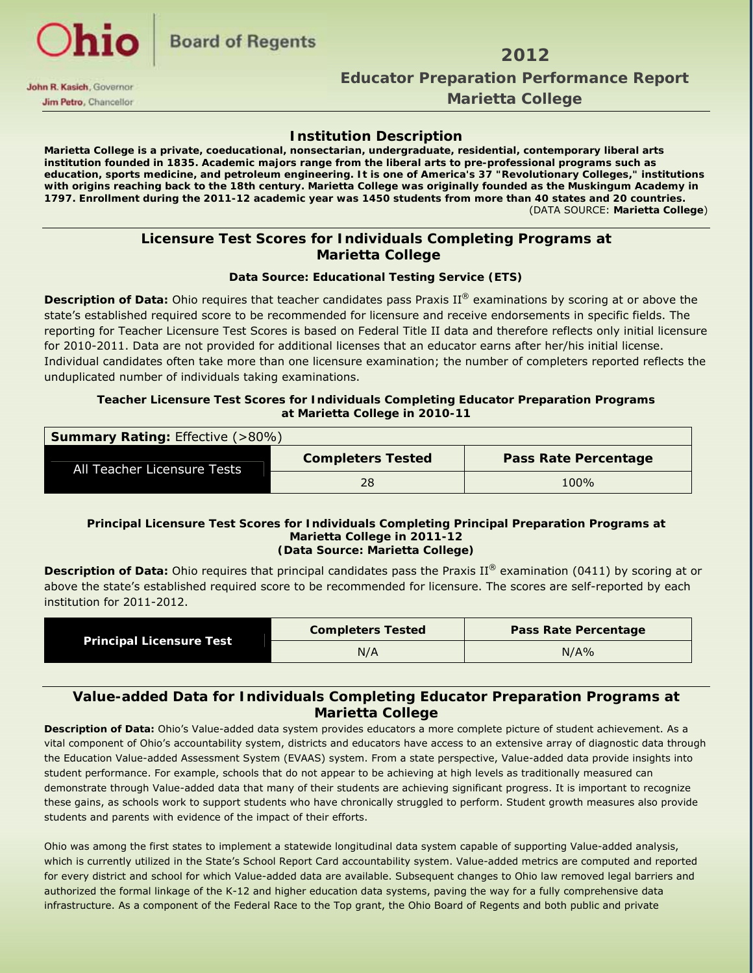

#### *Marietta College Marietta College*

#### **Institution Description**

**Marietta College is a private, coeducational, nonsectarian, undergraduate, residential, contemporary liberal arts institution founded in 1835. Academic majors range from the liberal arts to pre-professional programs such as education, sports medicine, and petroleum engineering. It is one of America's 37 "Revolutionary Colleges," institutions with origins reaching back to the 18th century. Marietta College was originally founded as the Muskingum Academy in 1797. Enrollment during the 2011-12 academic year was 1450 students from more than 40 states and 20 countries.**  (DATA SOURCE: **Marietta College**)

#### **Licensure Test Scores for Individuals Completing Programs at Marietta College**

#### **Data Source: Educational Testing Service (ETS)**

**Description of Data:** Ohio requires that teacher candidates pass Praxis II® examinations by scoring at or above the state's established required score to be recommended for licensure and receive endorsements in specific fields. The reporting for Teacher Licensure Test Scores is based on Federal Title II data and therefore reflects only initial licensure for 2010-2011. Data are not provided for additional licenses that an educator earns after her/his initial license. Individual candidates often take more than one licensure examination; the number of completers reported reflects the unduplicated number of individuals taking examinations.

#### **Teacher Licensure Test Scores for Individuals Completing Educator Preparation Programs at Marietta College in 2010-11**

| <b>Summary Rating: Effective (&gt;80%)</b> |                          |                             |  |  |  |  |  |
|--------------------------------------------|--------------------------|-----------------------------|--|--|--|--|--|
| All Teacher Licensure Tests                | <b>Completers Tested</b> | <b>Pass Rate Percentage</b> |  |  |  |  |  |
|                                            | 28                       | 100%                        |  |  |  |  |  |

#### **Principal Licensure Test Scores for Individuals Completing Principal Preparation Programs at Marietta College in 2011-12 (Data Source: Marietta College)**

**Description of Data:** Ohio requires that principal candidates pass the Praxis II® examination (0411) by scoring at or above the state's established required score to be recommended for licensure. The scores are self-reported by each institution for 2011-2012.

|                                 | <b>Completers Tested</b> | <b>Pass Rate Percentage</b> |
|---------------------------------|--------------------------|-----------------------------|
| <b>Principal Licensure Test</b> | N/A                      | N/A%                        |

#### **Value-added Data for Individuals Completing Educator Preparation Programs at Marietta College**

**Description of Data:** Ohio's Value-added data system provides educators a more complete picture of student achievement. As a vital component of Ohio's accountability system, districts and educators have access to an extensive array of diagnostic data through the Education Value-added Assessment System (EVAAS) system. From a state perspective, Value-added data provide insights into student performance. For example, schools that do not appear to be achieving at high levels as traditionally measured can demonstrate through Value-added data that many of their students are achieving significant progress. It is important to recognize these gains, as schools work to support students who have chronically struggled to perform. Student growth measures also provide students and parents with evidence of the impact of their efforts.

Ohio was among the first states to implement a statewide longitudinal data system capable of supporting Value-added analysis, which is currently utilized in the State's School Report Card accountability system. Value-added metrics are computed and reported for every district and school for which Value-added data are available. Subsequent changes to Ohio law removed legal barriers and authorized the formal linkage of the K-12 and higher education data systems, paving the way for a fully comprehensive data infrastructure. As a component of the Federal Race to the Top grant, the Ohio Board of Regents and both public and private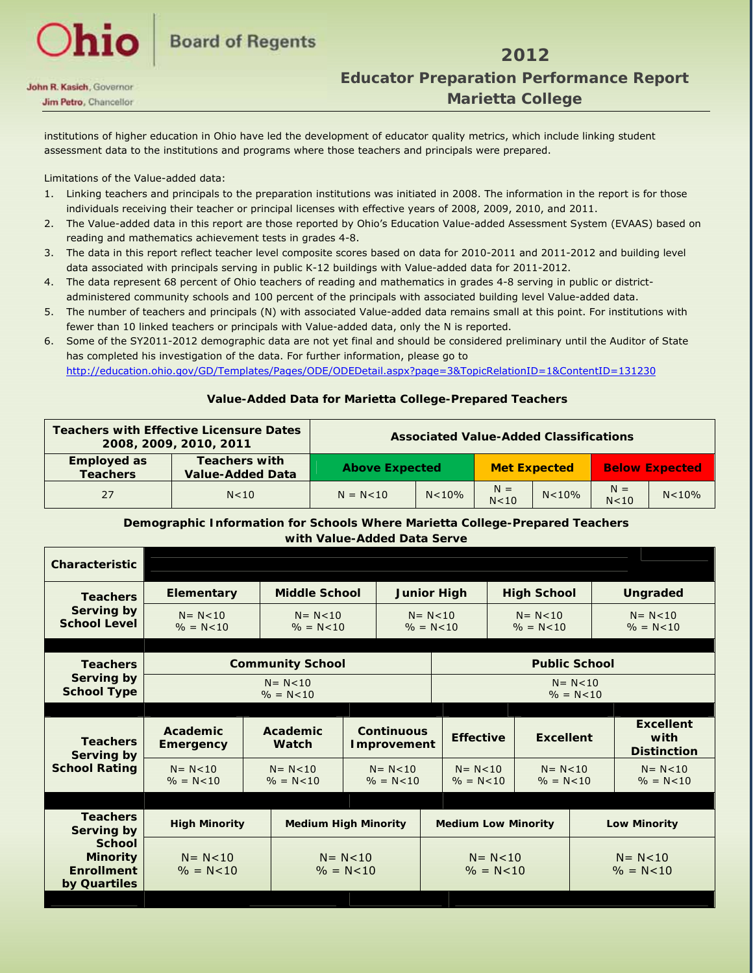### **2012 2012 Educator Preparation Performance Report** Educator Preparation Performance Report  **Marietta College**

institutions of higher education in Ohio have led the development of educator quality metrics, which include linking student assessment data to the institutions and programs where those teachers and principals were prepared.

Limitations of the Value-added data:

- 1. Linking teachers and principals to the preparation institutions was initiated in 2008. The information in the report is for those individuals receiving their teacher or principal licenses with effective years of 2008, 2009, 2010, and 2011.
- 2. The Value-added data in this report are those reported by Ohio's Education Value-added Assessment System (EVAAS) based on reading and mathematics achievement tests in grades 4-8.
- 3. The data in this report reflect teacher level composite scores based on data for 2010-2011 and 2011-2012 and building level data associated with principals serving in public K-12 buildings with Value-added data for 2011-2012.
- 4. The data represent 68 percent of Ohio teachers of reading and mathematics in grades 4-8 serving in public or districtadministered community schools and 100 percent of the principals with associated building level Value-added data.
- 5. The number of teachers and principals (N) with associated Value-added data remains small at this point. For institutions with fewer than 10 linked teachers or principals with Value-added data, only the N is reported.
- 6. Some of the SY2011-2012 demographic data are not yet final and should be considered preliminary until the Auditor of State has completed his investigation of the data. For further information, please go to http://education.ohio.gov/GD/Templates/Pages/ODE/ODEDetail.aspx?page=3&TopicRelationID=1&ContentID=131230

#### **Value-Added Data for Marietta College-Prepared Teachers**

|                                       | <b>Teachers with Effective Licensure Dates</b><br>2008, 2009, 2010, 2011 | <b>Associated Value-Added Classifications</b> |         |                     |         |                          |         |                       |
|---------------------------------------|--------------------------------------------------------------------------|-----------------------------------------------|---------|---------------------|---------|--------------------------|---------|-----------------------|
| <b>Employed as</b><br><b>Teachers</b> | <b>Teachers with</b><br><b>Value-Added Data</b>                          | <b>Above Expected</b>                         |         | <b>Met Expected</b> |         |                          |         | <b>Below Expected</b> |
| 27                                    | N<10                                                                     | $N = N < 10$                                  | N < 10% | $N =$<br>N<10       | N < 10% | $N =$<br>N <sub>10</sub> | N < 10% |                       |

#### **Demographic Information for Schools Where Marietta College-Prepared Teachers with Value-Added Data Serve**

| <b>Characteristic</b>                                                 |                               |                                                               |                               |                                         |                                                              |                                      |  |                               |                                                |                              |
|-----------------------------------------------------------------------|-------------------------------|---------------------------------------------------------------|-------------------------------|-----------------------------------------|--------------------------------------------------------------|--------------------------------------|--|-------------------------------|------------------------------------------------|------------------------------|
| <b>Teachers</b>                                                       | <b>Elementary</b>             | <b>Middle School</b>                                          |                               |                                         |                                                              | <b>Junior High</b>                   |  | <b>High School</b>            |                                                | <b>Ungraded</b>              |
| <b>Serving by</b><br><b>School Level</b>                              | $N = N < 10$<br>$\% = N < 10$ | $N = N < 10$<br>$% = N < 10$                                  |                               |                                         |                                                              | $N = N < 10$<br>$\% = N < 10$        |  | $N = N < 10$<br>$\% = N < 10$ |                                                | $N = N < 10$<br>$% = N < 10$ |
| <b>Teachers</b>                                                       |                               | <b>Community School</b>                                       |                               |                                         |                                                              | <b>Public School</b>                 |  |                               |                                                |                              |
| <b>Serving by</b><br><b>School Type</b>                               |                               | $N = N < 10$<br>$% = N < 10$                                  |                               |                                         |                                                              | $N = N < 10$<br>$% = N < 10$         |  |                               |                                                |                              |
| <b>Teachers</b><br>Serving by                                         | Academic<br><b>Emergency</b>  | Academic<br><b>Watch</b>                                      |                               | <b>Continuous</b><br><b>Improvement</b> |                                                              | <b>Effective</b><br><b>Excellent</b> |  |                               | <b>Excellent</b><br>with<br><b>Distinction</b> |                              |
| <b>School Rating</b>                                                  | $N = N < 10$<br>$% = N < 10$  | $N = N < 10$<br>$N = N < 10$<br>$\% = N < 10$<br>$% = N < 10$ |                               |                                         | $N = N < 10$<br>$N = N < 10$<br>$% = N < 10$<br>$% = N < 10$ |                                      |  | $N = N < 10$<br>$% = N < 10$  |                                                |                              |
|                                                                       |                               |                                                               |                               |                                         |                                                              |                                      |  |                               |                                                |                              |
| <b>Teachers</b><br>Serving by                                         | <b>High Minority</b>          | <b>Medium High Minority</b>                                   |                               |                                         | <b>Medium Low Minority</b>                                   |                                      |  | <b>Low Minority</b>           |                                                |                              |
| <b>School</b><br><b>Minority</b><br><b>Enrollment</b><br>by Quartiles | $N = N < 10$<br>$\% = N < 10$ |                                                               | $N = N < 10$<br>$\% = N < 10$ |                                         | $N = N < 10$<br>$% = N < 10$                                 |                                      |  |                               | $N = N < 10$<br>$\% = N < 10$                  |                              |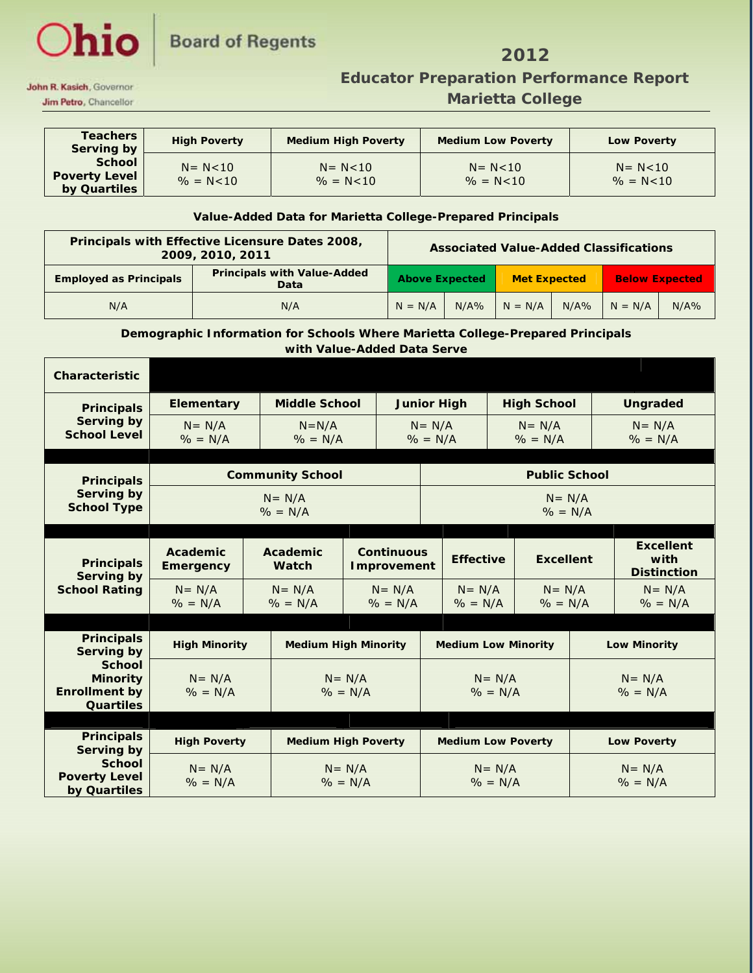# Ohio Board of Regents 2012

## **Educator Preparation Performance Report** Educator Preparation Performance Report  **Jim Petro, Chancellor Marietta College**

| <b>Teachers</b><br>Serving by                         | <b>High Poverty</b>           | <b>Medium High Poverty</b>    | <b>Medium Low Poverty</b>     | <b>Low Poverty</b>            |
|-------------------------------------------------------|-------------------------------|-------------------------------|-------------------------------|-------------------------------|
| <b>School</b><br><b>Poverty Level</b><br>by Quartiles | $N = N < 10$<br>$\% = N < 10$ | $N = N < 10$<br>$\% = N < 10$ | $N = N < 10$<br>$\% = N < 10$ | $N = N < 10$<br>$\% = N < 10$ |

#### **Value-Added Data for Marietta College-Prepared Principals**

| Principals with Effective Licensure Dates 2008,<br>2009, 2010, 2011 |                                            |                       | <b>Associated Value-Added Classifications</b> |                     |      |                       |      |
|---------------------------------------------------------------------|--------------------------------------------|-----------------------|-----------------------------------------------|---------------------|------|-----------------------|------|
| <b>Employed as Principals</b>                                       | <b>Principals with Value-Added</b><br>Data | <b>Above Expected</b> |                                               | <b>Met Expected</b> |      | <b>Below Expected</b> |      |
| N/A                                                                 | N/A                                        | $N = N/A$             | N/A%                                          | $N = N/A$           | N/A% | $N = N/A$             | N/A% |

#### **Demographic Information for Schools Where Marietta College-Prepared Principals with Value-Added Data Serve**

| <b>Characteristic</b>                                                        |                              |                          |                                         |                         |                                                   |                         |                                                |  |
|------------------------------------------------------------------------------|------------------------------|--------------------------|-----------------------------------------|-------------------------|---------------------------------------------------|-------------------------|------------------------------------------------|--|
| <b>Principals</b>                                                            | Elementary                   | <b>Middle School</b>     |                                         | <b>Junior High</b>      | <b>High School</b>                                |                         | <b>Ungraded</b>                                |  |
| Serving by<br><b>School Level</b>                                            | $N = N/A$<br>$\% = N/A$      | $N=N/A$<br>$\% = N/A$    |                                         |                         | $N = N/A$<br>$N = N/A$<br>$% = N/A$<br>$\% = N/A$ |                         | $N = N/A$<br>$\% = N/A$                        |  |
| <b>Principals</b>                                                            |                              | <b>Community School</b>  |                                         |                         |                                                   | <b>Public School</b>    |                                                |  |
| Serving by<br><b>School Type</b>                                             |                              | $N = N/A$<br>$\% = N/A$  |                                         | $N = N/A$<br>$\% = N/A$ |                                                   |                         |                                                |  |
| <b>Principals</b><br><b>Serving by</b>                                       | Academic<br><b>Emergency</b> | Academic<br><b>Watch</b> | <b>Continuous</b><br><b>Improvement</b> |                         | <b>Effective</b><br><b>Excellent</b>              |                         | <b>Excellent</b><br>with<br><b>Distinction</b> |  |
| <b>School Rating</b>                                                         | $N = N/A$<br>$\% = N/A$      | $N = N/A$<br>$\% = N/A$  | $N = N/A$<br>$\% = N/A$                 | $N = N/A$<br>$\% = N/A$ |                                                   | $N = N/A$<br>$\% = N/A$ | $N = N/A$<br>$\% = N/A$                        |  |
|                                                                              |                              |                          |                                         |                         |                                                   |                         |                                                |  |
| <b>Principals</b><br><b>Serving by</b>                                       | <b>High Minority</b>         |                          | <b>Medium High Minority</b>             |                         | <b>Medium Low Minority</b>                        |                         | <b>Low Minority</b>                            |  |
| <b>School</b><br><b>Minority</b><br><b>Enrollment by</b><br><b>Quartiles</b> | $N = N/A$<br>$\% = N/A$      |                          | $N = N/A$<br>$\% = N/A$                 |                         | $N = N/A$<br>$\% = N/A$                           |                         | $N = N/A$<br>$\% = N/A$                        |  |
|                                                                              |                              |                          |                                         |                         |                                                   |                         |                                                |  |
| <b>Principals</b><br>Serving by                                              | <b>High Poverty</b>          |                          | <b>Medium High Poverty</b>              |                         | <b>Medium Low Poverty</b>                         |                         | <b>Low Poverty</b>                             |  |
| <b>School</b><br><b>Poverty Level</b><br>by Quartiles                        | $N = N/A$<br>$\% = N/A$      |                          | $N = N/A$<br>$% = N/A$                  | $N = N/A$<br>$\% = N/A$ |                                                   |                         | $N = N/A$<br>$\% = N/A$                        |  |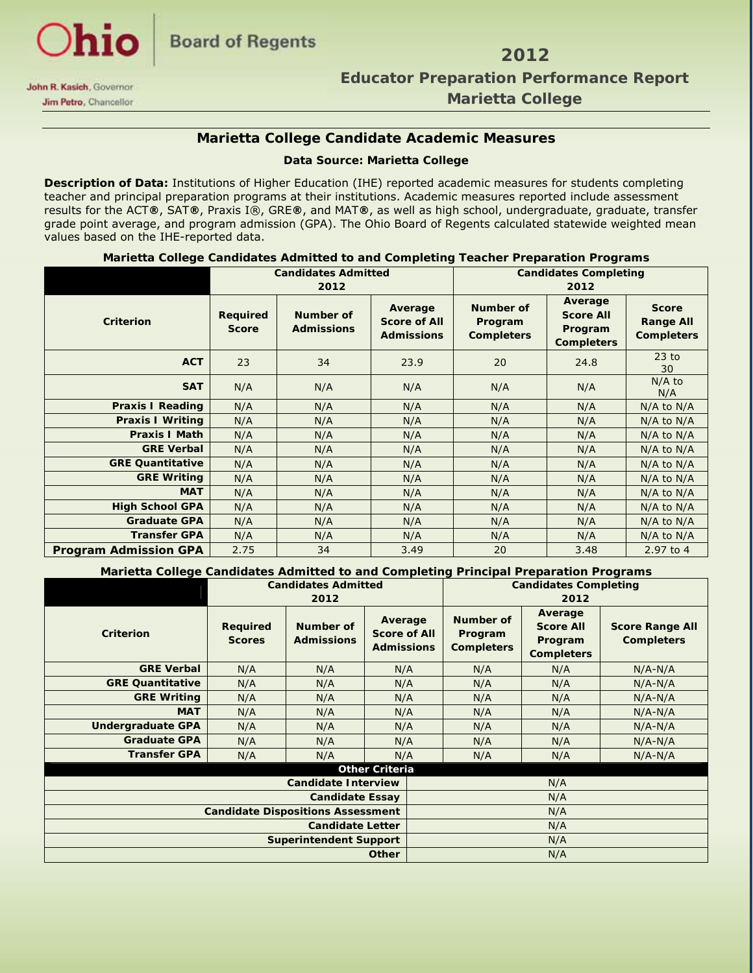

## **Educator Preparation Performance Report** Educator Preparation Performance Report  **Jim Petro, Chancellor College College College Marietta College**

### **Marietta College Candidate Academic Measures**

#### **Data Source: Marietta College**

**Description of Data:** Institutions of Higher Education (IHE) reported academic measures for students completing teacher and principal preparation programs at their institutions. Academic measures reported include assessment results for the ACT**®**, SAT**®**, Praxis I®, GRE**®**, and MAT**®**, as well as high school, undergraduate, graduate, transfer grade point average, and program admission (GPA). The Ohio Board of Regents calculated statewide weighted mean values based on the IHE-reported data.

|  | Marietta College Candidates Admitted to and Completing Teacher Preparation Programs |  |  |  |
|--|-------------------------------------------------------------------------------------|--|--|--|
|--|-------------------------------------------------------------------------------------|--|--|--|

|                              | <b>Candidates Admitted</b> |                                |                                                     | <b>Candidates Completing</b>              |                                                             |                                                       |  |
|------------------------------|----------------------------|--------------------------------|-----------------------------------------------------|-------------------------------------------|-------------------------------------------------------------|-------------------------------------------------------|--|
|                              |                            | 2012                           |                                                     | 2012                                      |                                                             |                                                       |  |
| <b>Criterion</b>             | Required<br><b>Score</b>   | Number of<br><b>Admissions</b> | Average<br><b>Score of All</b><br><b>Admissions</b> | Number of<br>Program<br><b>Completers</b> | Average<br><b>Score All</b><br>Program<br><b>Completers</b> | <b>Score</b><br><b>Range All</b><br><b>Completers</b> |  |
| <b>ACT</b>                   | 23                         | 34                             | 23.9                                                | 20                                        | 24.8                                                        | $23$ to<br>30                                         |  |
| <b>SAT</b>                   | N/A                        | N/A                            | N/A                                                 | N/A                                       | N/A                                                         | $N/A$ to<br>N/A                                       |  |
| <b>Praxis I Reading</b>      | N/A                        | N/A                            | N/A                                                 | N/A                                       | N/A                                                         | N/A to N/A                                            |  |
| <b>Praxis I Writing</b>      | N/A                        | N/A                            | N/A                                                 | N/A                                       | N/A                                                         | $N/A$ to $N/A$                                        |  |
| <b>Praxis I Math</b>         | N/A                        | N/A                            | N/A                                                 | N/A                                       | N/A                                                         | $N/A$ to $N/A$                                        |  |
| <b>GRE Verbal</b>            | N/A                        | N/A                            | N/A                                                 | N/A                                       | N/A                                                         | $N/A$ to $N/A$                                        |  |
| <b>GRE Quantitative</b>      | N/A                        | N/A                            | N/A                                                 | N/A                                       | N/A                                                         | N/A to N/A                                            |  |
| <b>GRE Writing</b>           | N/A                        | N/A                            | N/A                                                 | N/A                                       | N/A                                                         | $N/A$ to $N/A$                                        |  |
| <b>MAT</b>                   | N/A                        | N/A                            | N/A                                                 | N/A                                       | N/A                                                         | N/A to N/A                                            |  |
| <b>High School GPA</b>       | N/A                        | N/A                            | N/A                                                 | N/A                                       | N/A                                                         | $N/A$ to $N/A$                                        |  |
| <b>Graduate GPA</b>          | N/A                        | N/A                            | N/A                                                 | N/A                                       | N/A                                                         | $N/A$ to $N/A$                                        |  |
| <b>Transfer GPA</b>          | N/A                        | N/A                            | N/A                                                 | N/A                                       | N/A                                                         | $N/A$ to $N/A$                                        |  |
| <b>Program Admission GPA</b> | 2.75                       | 34                             | 3.49                                                | 20                                        | 3.48                                                        | 2.97 to 4                                             |  |

**Marietta College Candidates Admitted to and Completing Principal Preparation Programs** 

|                                          |                                  | <b>Candidates Admitted</b>     |                                                     | <b>Candidates Completing</b>              |                                                             |                                             |  |
|------------------------------------------|----------------------------------|--------------------------------|-----------------------------------------------------|-------------------------------------------|-------------------------------------------------------------|---------------------------------------------|--|
|                                          | 2012                             |                                |                                                     | 2012                                      |                                                             |                                             |  |
| Criterion                                | <b>Required</b><br><b>Scores</b> | Number of<br><b>Admissions</b> | Average<br><b>Score of All</b><br><b>Admissions</b> | Number of<br>Program<br><b>Completers</b> | Average<br><b>Score All</b><br>Program<br><b>Completers</b> | <b>Score Range All</b><br><b>Completers</b> |  |
| <b>GRE Verbal</b>                        | N/A                              | N/A                            | N/A                                                 | N/A                                       | N/A                                                         | $N/A-N/A$                                   |  |
| <b>GRE Quantitative</b>                  | N/A                              | N/A                            | N/A                                                 | N/A                                       | N/A                                                         | $N/A-N/A$                                   |  |
| <b>GRE Writing</b>                       | N/A                              | N/A                            | N/A                                                 | N/A                                       | N/A                                                         | $N/A-N/A$                                   |  |
| <b>MAT</b>                               | N/A                              | N/A                            | N/A                                                 | N/A                                       | N/A                                                         | $N/A-N/A$                                   |  |
| <b>Undergraduate GPA</b>                 | N/A                              | N/A                            | N/A                                                 | N/A                                       | N/A                                                         | $N/A-N/A$                                   |  |
| <b>Graduate GPA</b>                      | N/A                              | N/A                            | N/A                                                 |                                           | N/A                                                         | $N/A-N/A$                                   |  |
| <b>Transfer GPA</b>                      | N/A                              | N/A                            | N/A                                                 | N/A                                       | N/A                                                         | $N/A-N/A$                                   |  |
|                                          |                                  |                                | <b>Other Criteria</b>                               |                                           |                                                             |                                             |  |
| <b>Candidate Interview</b>               |                                  |                                |                                                     | N/A                                       |                                                             |                                             |  |
| <b>Candidate Essay</b>                   |                                  |                                |                                                     | N/A                                       |                                                             |                                             |  |
| <b>Candidate Dispositions Assessment</b> |                                  |                                |                                                     | N/A                                       |                                                             |                                             |  |
| <b>Candidate Letter</b>                  |                                  |                                |                                                     | N/A                                       |                                                             |                                             |  |
|                                          |                                  | <b>Superintendent Support</b>  |                                                     | N/A                                       |                                                             |                                             |  |
| <b>Other</b>                             |                                  |                                |                                                     | N/A                                       |                                                             |                                             |  |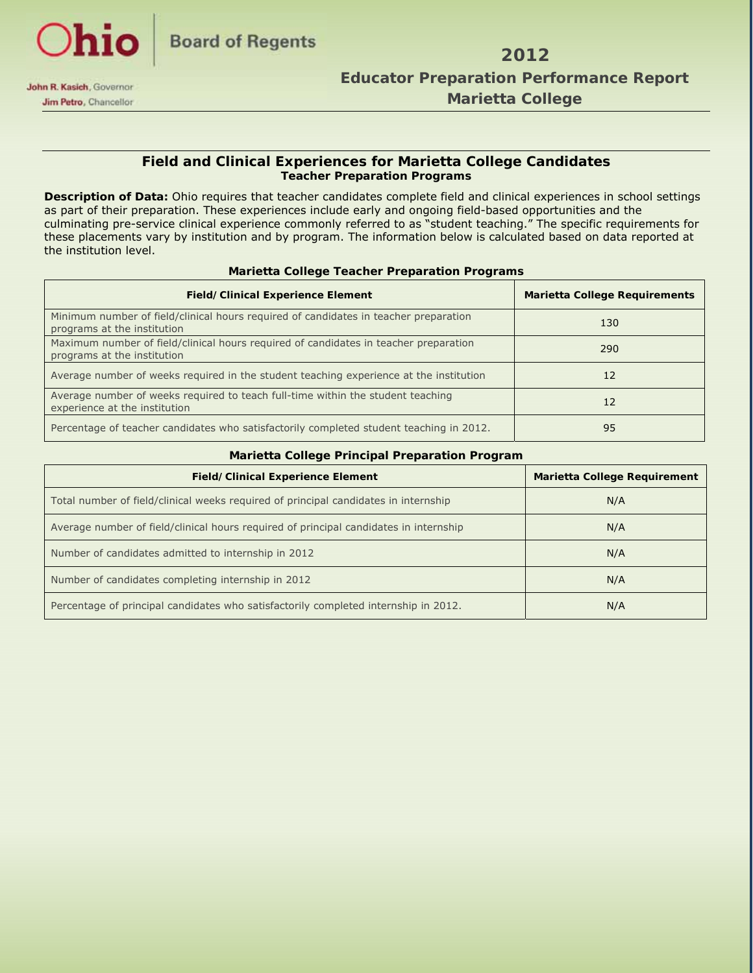

#### **Field and Clinical Experiences for Marietta College Candidates Teacher Preparation Programs**

**Description of Data:** Ohio requires that teacher candidates complete field and clinical experiences in school settings as part of their preparation. These experiences include early and ongoing field-based opportunities and the culminating pre-service clinical experience commonly referred to as "student teaching." The specific requirements for these placements vary by institution and by program. The information below is calculated based on data reported at the institution level.

| <b>Field/Clinical Experience Element</b>                                                                            | <b>Marietta College Requirements</b> |
|---------------------------------------------------------------------------------------------------------------------|--------------------------------------|
| Minimum number of field/clinical hours required of candidates in teacher preparation<br>programs at the institution | 130                                  |
| Maximum number of field/clinical hours required of candidates in teacher preparation<br>programs at the institution | 290                                  |
| Average number of weeks required in the student teaching experience at the institution                              | 12                                   |
| Average number of weeks required to teach full-time within the student teaching<br>experience at the institution    | 12                                   |
| Percentage of teacher candidates who satisfactorily completed student teaching in 2012.                             | 95                                   |

#### **Marietta College Teacher Preparation Programs**

| Marietta College Principal Preparation Program                                        |                              |
|---------------------------------------------------------------------------------------|------------------------------|
| <b>Field/Clinical Experience Element</b>                                              | Marietta College Requirement |
| Total number of field/clinical weeks required of principal candidates in internship   | N/A                          |
| Average number of field/clinical hours required of principal candidates in internship | N/A                          |
| Number of candidates admitted to internship in 2012                                   | N/A                          |
| Number of candidates completing internship in 2012                                    | N/A                          |
| Percentage of principal candidates who satisfactorily completed internship in 2012.   | N/A                          |

#### **Marietta College Principal Preparation Program**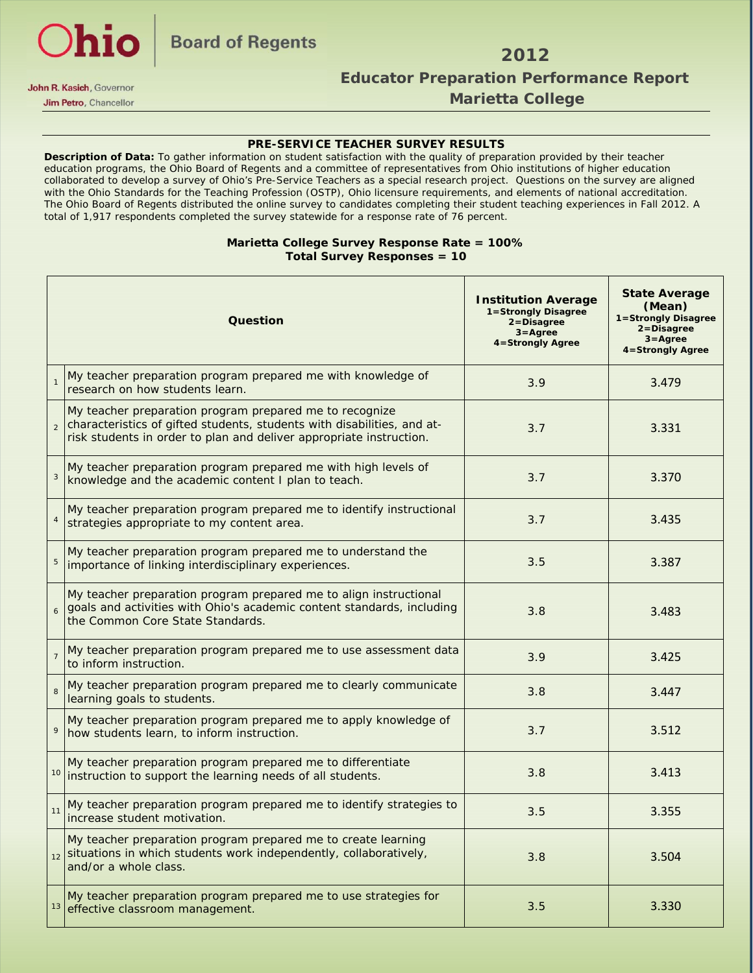

# **Jim Petro**, Chancellor **College Marietta College**

#### **PRE-SERVICE TEACHER SURVEY RESULTS**

**Description of Data:** To gather information on student satisfaction with the quality of preparation provided by their teacher education programs, the Ohio Board of Regents and a committee of representatives from Ohio institutions of higher education collaborated to develop a survey of Ohio's Pre-Service Teachers as a special research project. Questions on the survey are aligned with the Ohio Standards for the Teaching Profession (OSTP), Ohio licensure requirements, and elements of national accreditation. The Ohio Board of Regents distributed the online survey to candidates completing their student teaching experiences in Fall 2012. A total of 1,917 respondents completed the survey statewide for a response rate of 76 percent.

#### **Marietta College Survey Response Rate = 100% Total Survey Responses = 10**

|                | Question                                                                                                                                                                                                         | <b>Institution Average</b><br>1=Strongly Disagree<br>2=Disagree<br>$3 =$ Agree<br>4=Strongly Agree | <b>State Average</b><br>(Mean)<br>1=Strongly Disagree<br>2=Disagree<br>$3 =$ Agree<br>4=Strongly Agree |  |  |
|----------------|------------------------------------------------------------------------------------------------------------------------------------------------------------------------------------------------------------------|----------------------------------------------------------------------------------------------------|--------------------------------------------------------------------------------------------------------|--|--|
| $\mathbf{1}$   | My teacher preparation program prepared me with knowledge of<br>research on how students learn.                                                                                                                  | 3.479                                                                                              |                                                                                                        |  |  |
|                | My teacher preparation program prepared me to recognize<br>characteristics of gifted students, students with disabilities, and at-<br>3.7<br>risk students in order to plan and deliver appropriate instruction. |                                                                                                    | 3.331                                                                                                  |  |  |
| 3              | My teacher preparation program prepared me with high levels of<br>knowledge and the academic content I plan to teach.                                                                                            | 3.370                                                                                              |                                                                                                        |  |  |
|                | My teacher preparation program prepared me to identify instructional<br>3.7<br>strategies appropriate to my content area.                                                                                        |                                                                                                    | 3.435                                                                                                  |  |  |
|                | My teacher preparation program prepared me to understand the<br>importance of linking interdisciplinary experiences.                                                                                             | 3.387                                                                                              |                                                                                                        |  |  |
|                | My teacher preparation program prepared me to align instructional<br>goals and activities with Ohio's academic content standards, including<br>3.8<br>the Common Core State Standards.                           |                                                                                                    | 3.483                                                                                                  |  |  |
| $\overline{7}$ | My teacher preparation program prepared me to use assessment data<br>3.9<br>to inform instruction.                                                                                                               |                                                                                                    | 3.425                                                                                                  |  |  |
|                | My teacher preparation program prepared me to clearly communicate<br>learning goals to students.                                                                                                                 | 3.8                                                                                                | 3.447                                                                                                  |  |  |
| 9              | My teacher preparation program prepared me to apply knowledge of<br>how students learn, to inform instruction.                                                                                                   | 3.7                                                                                                | 3.512                                                                                                  |  |  |
|                | My teacher preparation program prepared me to differentiate<br>3.8<br><sup>10</sup> instruction to support the learning needs of all students.                                                                   |                                                                                                    | 3.413                                                                                                  |  |  |
| 11             | My teacher preparation program prepared me to identify strategies to<br>3.5<br>increase student motivation.                                                                                                      |                                                                                                    | 3.355                                                                                                  |  |  |
|                | My teacher preparation program prepared me to create learning<br>12 situations in which students work independently, collaboratively,<br>3.8<br>and/or a whole class.                                            |                                                                                                    | 3.504                                                                                                  |  |  |
| 13             | My teacher preparation program prepared me to use strategies for<br>effective classroom management.                                                                                                              | 3.5                                                                                                | 3.330                                                                                                  |  |  |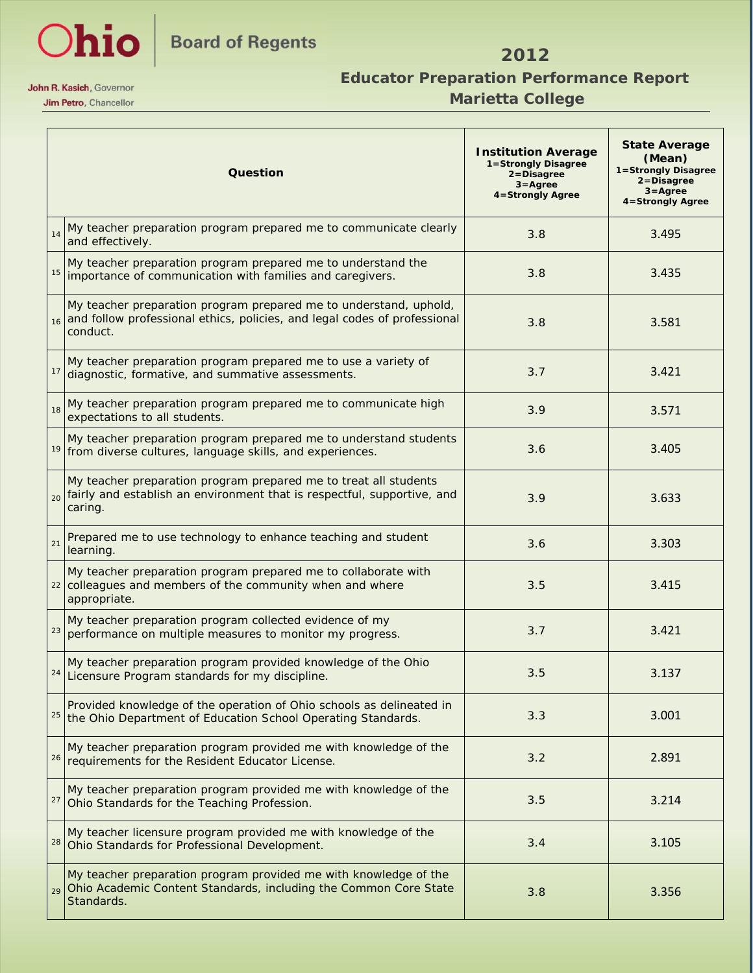

### *Marietta College* **Marietta College**

|    | Question                                                                                                                                                                    | <b>State Average</b><br><b>Institution Average</b><br>(Mean)<br>1=Strongly Disagree<br>1=Strongly Disagree<br>2=Disagree<br>2=Disagree<br>$3 =$ Agree<br>$3 =$ Agree<br>4=Strongly Agree<br>4=Strongly Agree |       |  |  |
|----|-----------------------------------------------------------------------------------------------------------------------------------------------------------------------------|--------------------------------------------------------------------------------------------------------------------------------------------------------------------------------------------------------------|-------|--|--|
| 14 | My teacher preparation program prepared me to communicate clearly<br>and effectively.                                                                                       | 3.495                                                                                                                                                                                                        |       |  |  |
| 15 | My teacher preparation program prepared me to understand the<br>importance of communication with families and caregivers.                                                   | 3.8                                                                                                                                                                                                          |       |  |  |
|    | My teacher preparation program prepared me to understand, uphold,<br>16 and follow professional ethics, policies, and legal codes of professional<br>3.8<br>conduct.        |                                                                                                                                                                                                              | 3.581 |  |  |
| 17 | My teacher preparation program prepared me to use a variety of<br>3.7<br>diagnostic, formative, and summative assessments.                                                  |                                                                                                                                                                                                              | 3.421 |  |  |
| 18 | My teacher preparation program prepared me to communicate high<br>expectations to all students.                                                                             | 3.571                                                                                                                                                                                                        |       |  |  |
| 19 | My teacher preparation program prepared me to understand students<br>3.6<br>from diverse cultures, language skills, and experiences.                                        |                                                                                                                                                                                                              | 3.405 |  |  |
|    | My teacher preparation program prepared me to treat all students<br><sub>20</sub> fairly and establish an environment that is respectful, supportive, and<br>3.9<br>caring. |                                                                                                                                                                                                              | 3.633 |  |  |
| 21 | Prepared me to use technology to enhance teaching and student<br>3.6<br>learning.                                                                                           |                                                                                                                                                                                                              | 3.303 |  |  |
|    | My teacher preparation program prepared me to collaborate with<br>22 colleagues and members of the community when and where<br>3.5<br>appropriate.                          |                                                                                                                                                                                                              | 3.415 |  |  |
| 23 | My teacher preparation program collected evidence of my<br>3.7<br>performance on multiple measures to monitor my progress.                                                  |                                                                                                                                                                                                              | 3.421 |  |  |
|    | My teacher preparation program provided knowledge of the Ohio<br>3.5<br><sup>24</sup> Licensure Program standards for my discipline.                                        |                                                                                                                                                                                                              | 3.137 |  |  |
|    | Provided knowledge of the operation of Ohio schools as delineated in<br>3.3<br><sup>25</sup> the Ohio Department of Education School Operating Standards.                   |                                                                                                                                                                                                              | 3.001 |  |  |
|    | My teacher preparation program provided me with knowledge of the<br>3.2<br><sup>26</sup> requirements for the Resident Educator License.                                    |                                                                                                                                                                                                              | 2.891 |  |  |
| 27 | My teacher preparation program provided me with knowledge of the<br>3.5<br>Ohio Standards for the Teaching Profession.                                                      |                                                                                                                                                                                                              | 3.214 |  |  |
|    | My teacher licensure program provided me with knowledge of the<br><sup>28</sup> Ohio Standards for Professional Development.                                                | 3.4                                                                                                                                                                                                          | 3.105 |  |  |
| 29 | My teacher preparation program provided me with knowledge of the<br>Ohio Academic Content Standards, including the Common Core State<br>Standards.                          | 3.8                                                                                                                                                                                                          | 3.356 |  |  |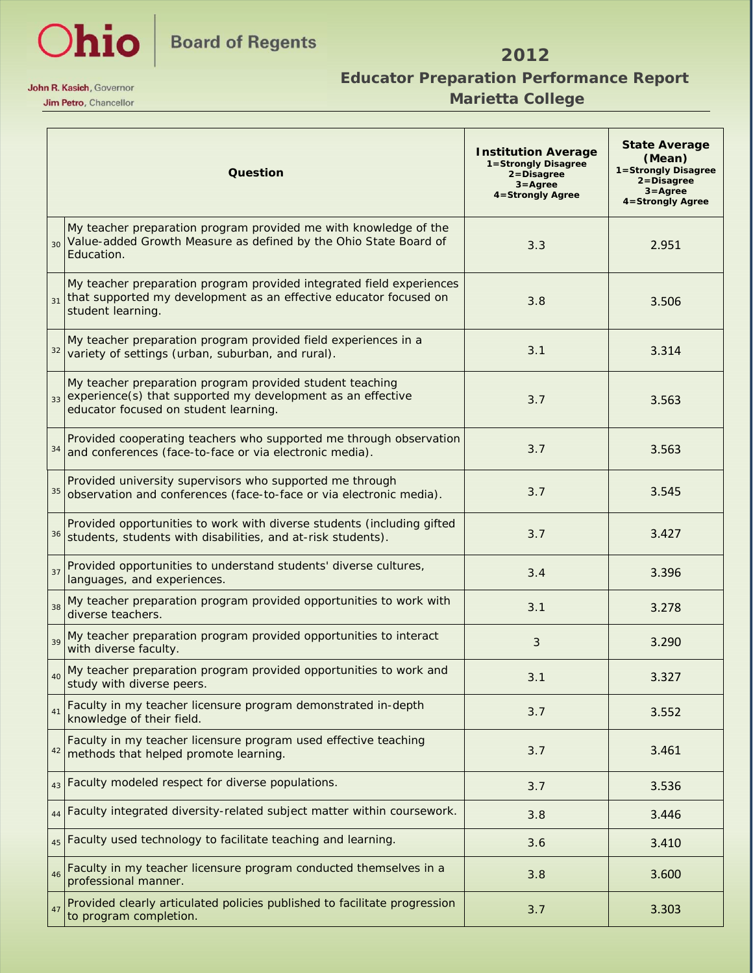

### *Marietta College* **Marietta College**

|                 | <b>Question</b>                                                                                                                                                         | <b>State Average</b><br><b>Institution Average</b><br>(Mean)<br>1=Strongly Disagree<br>1=Strongly Disagree<br>$2 = Disagree$<br>2=Disagree<br>$3 =$ Agree<br>$3 = \text{Agree}$<br>4=Strongly Agree<br>4=Strongly Agree |       |  |  |
|-----------------|-------------------------------------------------------------------------------------------------------------------------------------------------------------------------|-------------------------------------------------------------------------------------------------------------------------------------------------------------------------------------------------------------------------|-------|--|--|
| 30 <sup>2</sup> | My teacher preparation program provided me with knowledge of the<br>Value-added Growth Measure as defined by the Ohio State Board of<br>Education.                      | 3.3                                                                                                                                                                                                                     | 2.951 |  |  |
| 31              | My teacher preparation program provided integrated field experiences<br>that supported my development as an effective educator focused on<br>student learning.          | 3.506                                                                                                                                                                                                                   |       |  |  |
| 32              | My teacher preparation program provided field experiences in a<br>3.1<br>variety of settings (urban, suburban, and rural).                                              |                                                                                                                                                                                                                         | 3.314 |  |  |
| 33              | My teacher preparation program provided student teaching<br>experience(s) that supported my development as an effective<br>3.7<br>educator focused on student learning. |                                                                                                                                                                                                                         | 3.563 |  |  |
| 34              | Provided cooperating teachers who supported me through observation<br>and conferences (face-to-face or via electronic media).                                           | 3.563                                                                                                                                                                                                                   |       |  |  |
| 35              | Provided university supervisors who supported me through<br>3.7<br>observation and conferences (face-to-face or via electronic media).                                  |                                                                                                                                                                                                                         | 3.545 |  |  |
| 36              | Provided opportunities to work with diverse students (including gifted<br>3.7<br>students, students with disabilities, and at-risk students).                           |                                                                                                                                                                                                                         | 3.427 |  |  |
| 37              | Provided opportunities to understand students' diverse cultures,<br>3.4<br>languages, and experiences.                                                                  |                                                                                                                                                                                                                         | 3.396 |  |  |
| 38              | My teacher preparation program provided opportunities to work with<br>3.1<br>diverse teachers.                                                                          |                                                                                                                                                                                                                         | 3.278 |  |  |
| 39              | My teacher preparation program provided opportunities to interact<br>with diverse faculty.                                                                              | 3                                                                                                                                                                                                                       |       |  |  |
| 40              | My teacher preparation program provided opportunities to work and<br>study with diverse peers.                                                                          | 3.1                                                                                                                                                                                                                     | 3.327 |  |  |
| 41              | Faculty in my teacher licensure program demonstrated in-depth<br>knowledge of their field.                                                                              | 3.7                                                                                                                                                                                                                     | 3.552 |  |  |
| 42              | Faculty in my teacher licensure program used effective teaching<br>3.7<br>methods that helped promote learning.                                                         |                                                                                                                                                                                                                         | 3.461 |  |  |
| 43              | Faculty modeled respect for diverse populations.                                                                                                                        | 3.7                                                                                                                                                                                                                     | 3.536 |  |  |
| 44              | Faculty integrated diversity-related subject matter within coursework.                                                                                                  | 3.8                                                                                                                                                                                                                     | 3.446 |  |  |
| 45              | Faculty used technology to facilitate teaching and learning.                                                                                                            | 3.6                                                                                                                                                                                                                     | 3.410 |  |  |
| 46              | Faculty in my teacher licensure program conducted themselves in a<br>professional manner.                                                                               | 3.8                                                                                                                                                                                                                     | 3.600 |  |  |
| 47              | Provided clearly articulated policies published to facilitate progression<br>to program completion.                                                                     | 3.7                                                                                                                                                                                                                     | 3.303 |  |  |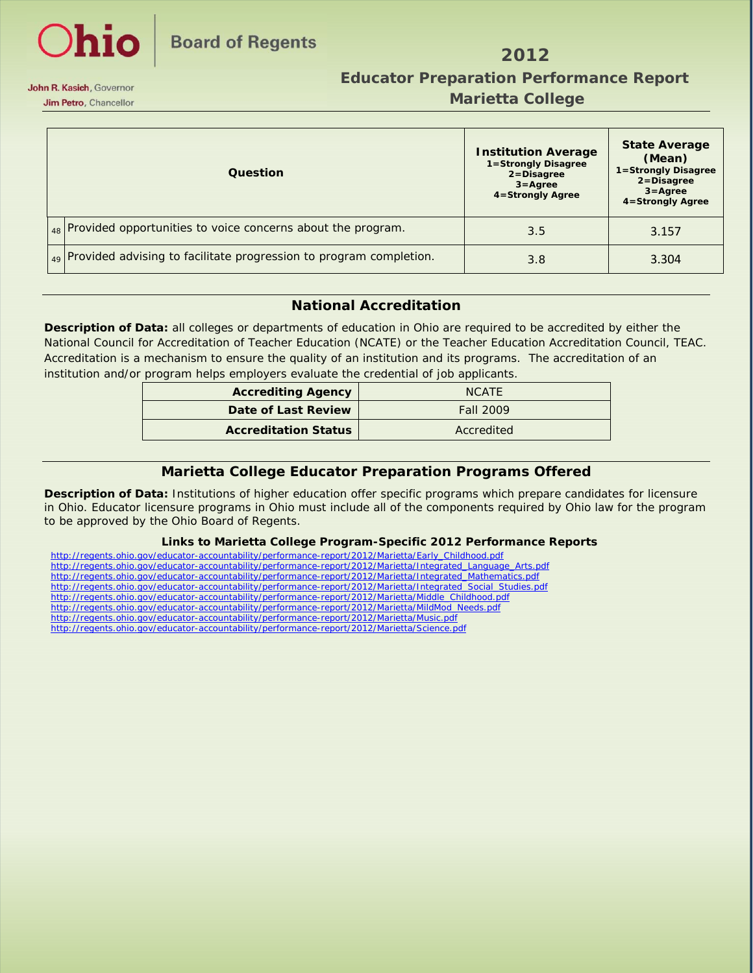

#### **Jim Petro**, Chancellor **College Marietta College**

| Question                                                                 | <b>Institution Average</b><br>1=Strongly Disagree<br>2=Disagree<br>$3 =$ Agree<br>4=Strongly Agree | <b>State Average</b><br>(Mean)<br>1=Strongly Disagree<br>2=Disagree<br>$3 = \text{Agree}$<br>4=Strongly Agree |
|--------------------------------------------------------------------------|----------------------------------------------------------------------------------------------------|---------------------------------------------------------------------------------------------------------------|
| $\vert_{48}$ Provided opportunities to voice concerns about the program. | 3.5                                                                                                | 3.157                                                                                                         |
| 49 Provided advising to facilitate progression to program completion.    | 3.8                                                                                                | 3.304                                                                                                         |

#### **National Accreditation**

**Description of Data:** all colleges or departments of education in Ohio are required to be accredited by either the National Council for Accreditation of Teacher Education (NCATE) or the Teacher Education Accreditation Council, TEAC. Accreditation is a mechanism to ensure the quality of an institution and its programs. The accreditation of an institution and/or program helps employers evaluate the credential of job applicants.

| <b>Accrediting Agency</b>   | <b>NCATE</b> |
|-----------------------------|--------------|
| Date of Last Review         | Fall 2009    |
| <b>Accreditation Status</b> | Accredited   |

#### **Marietta College Educator Preparation Programs Offered**

**Description of Data:** Institutions of higher education offer specific programs which prepare candidates for licensure in Ohio. Educator licensure programs in Ohio must include all of the components required by Ohio law for the program to be approved by the Ohio Board of Regents.

#### **Links to Marietta College Program-Specific 2012 Performance Reports**

| http://regents.ohio.gov/educator-accountability/performance-report/2012/Marietta/Early Childhood.pdf           |
|----------------------------------------------------------------------------------------------------------------|
| http://regents.ohio.gov/educator-accountability/performance-report/2012/Marietta/Integrated Language Arts.pdf  |
| http://regents.ohio.gov/educator-accountability/performance-report/2012/Marietta/Integrated Mathematics.pdf    |
| http://regents.ohio.gov/educator-accountability/performance-report/2012/Marietta/Integrated Social Studies.pdf |
| http://regents.ohio.gov/educator-accountability/performance-report/2012/Marietta/Middle Childhood.pdf          |
| http://regents.ohio.gov/educator-accountability/performance-report/2012/Marietta/MildMod Needs.pdf             |
| http://regents.ohio.gov/educator-accountability/performance-report/2012/Marietta/Music.pdf                     |
| http://regents.ohio.gov/educator-accountability/performance-report/2012/Marietta/Science.pdf                   |
|                                                                                                                |